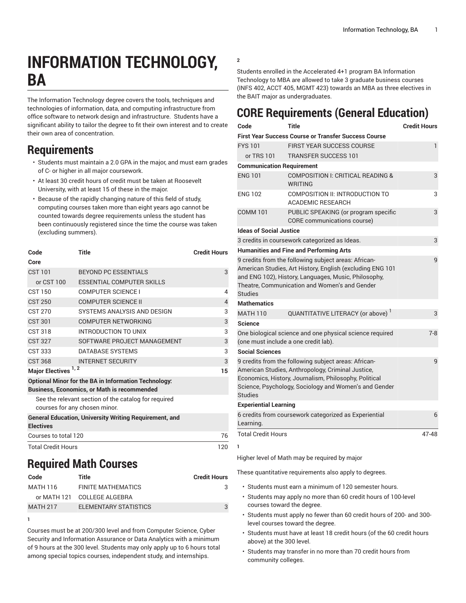# **INFORMATION TECHNOLOGY, BA**

The Information Technology degree covers the tools, techniques and technologies of information, data, and computing infrastructure from office software to network design and infrastructure. Students have a significant ability to tailor the degree to fit their own interest and to create their own area of concentration.

#### **Requirements**

- Students must maintain a 2.0 GPA in the major, and must earn grades of C- or higher in all major coursework.
- At least 30 credit hours of credit must be taken at Roosevelt University, with at least 15 of these in the major.
- Because of the rapidly changing nature of this field of study, computing courses taken more than eight years ago cannot be counted towards degree requirements unless the student has been continuously registered since the time the course was taken (excluding summers).

| Code                                                                                                              | Title                                                         | <b>Credit Hours</b> |  |  |
|-------------------------------------------------------------------------------------------------------------------|---------------------------------------------------------------|---------------------|--|--|
| Core                                                                                                              |                                                               |                     |  |  |
| <b>CST 101</b>                                                                                                    | <b>BEYOND PC ESSENTIALS</b>                                   | 3                   |  |  |
| or CST 100                                                                                                        | <b>ESSENTIAL COMPUTER SKILLS</b>                              |                     |  |  |
| CST 150                                                                                                           | COMPUTER SCIENCE I                                            | 4                   |  |  |
| <b>CST 250</b>                                                                                                    | <b>COMPUTER SCIENCE II</b>                                    | $\overline{4}$      |  |  |
| CST 270                                                                                                           | SYSTEMS ANALYSIS AND DESIGN                                   | 3                   |  |  |
| <b>CST 301</b>                                                                                                    | <b>COMPUTER NETWORKING</b>                                    | 3                   |  |  |
| <b>CST 318</b>                                                                                                    | INTRODUCTION TO UNIX                                          | 3                   |  |  |
| <b>CST 327</b>                                                                                                    | SOFTWARE PROJECT MANAGEMENT                                   | 3                   |  |  |
| <b>CST 333</b>                                                                                                    | DATABASE SYSTEMS                                              | 3                   |  |  |
| <b>CST 368</b>                                                                                                    | <b>INTERNET SECURITY</b>                                      | 3                   |  |  |
| Major Electives <sup>1,2</sup>                                                                                    | 15                                                            |                     |  |  |
| <b>Optional Minor for the BA in Information Technology:</b><br><b>Business, Economics, or Math is recommended</b> |                                                               |                     |  |  |
| See the relevant section of the catalog for required<br>courses for any chosen minor.                             |                                                               |                     |  |  |
| <b>Electives</b>                                                                                                  | <b>General Education, University Writing Requirement, and</b> |                     |  |  |
| Courses to total 120                                                                                              | 76                                                            |                     |  |  |
| <b>Total Credit Hours</b>                                                                                         |                                                               | 120                 |  |  |

### **Required Math Courses**

**1**

| Code            | Title                       | <b>Credit Hours</b> |
|-----------------|-----------------------------|---------------------|
| MATH 116        | FINITE MATHEMATICS          | 3                   |
|                 | or MATH 121 COLLEGE ALGEBRA |                     |
| <b>MATH 217</b> | ELEMENTARY STATISTICS       | 3                   |
|                 |                             |                     |

Courses must be at 200/300 level and from Computer Science, Cyber Security and Information Assurance or Data Analytics with a minimum of 9 hours at the 300 level. Students may only apply up to 6 hours total among special topics courses, independent study, and internships.

#### **2**

Students enrolled in the Accelerated 4+1 program BA Information Technology to MBA are allowed to take 3 graduate business courses (INFS 402, ACCT 405, MGMT 423) towards an MBA as three electives in the BAIT major as undergraduates.

## **CORE Requirements (General Education)**

| Code                                                                                                        | Title                                                                                                                                                                                                                       | <b>Credit Hours</b> |  |  |
|-------------------------------------------------------------------------------------------------------------|-----------------------------------------------------------------------------------------------------------------------------------------------------------------------------------------------------------------------------|---------------------|--|--|
|                                                                                                             | <b>First Year Success Course or Transfer Success Course</b>                                                                                                                                                                 |                     |  |  |
| <b>FYS101</b>                                                                                               | <b>FIRST YEAR SUCCESS COURSE</b>                                                                                                                                                                                            | 1                   |  |  |
| or TRS 101                                                                                                  | <b>TRANSFER SUCCESS 101</b>                                                                                                                                                                                                 |                     |  |  |
| <b>Communication Requirement</b>                                                                            |                                                                                                                                                                                                                             |                     |  |  |
| <b>ENG 101</b>                                                                                              | COMPOSITION I: CRITICAL READING &<br><b>WRITING</b>                                                                                                                                                                         | 3                   |  |  |
| <b>ENG 102</b>                                                                                              | COMPOSITION II: INTRODUCTION TO<br><b>ACADEMIC RESEARCH</b>                                                                                                                                                                 | 3                   |  |  |
| <b>COMM 101</b>                                                                                             | PUBLIC SPEAKING (or program specific<br>CORE communications course)                                                                                                                                                         | 3                   |  |  |
| <b>Ideas of Social Justice</b>                                                                              |                                                                                                                                                                                                                             |                     |  |  |
|                                                                                                             | 3 credits in coursework categorized as Ideas.                                                                                                                                                                               | 3                   |  |  |
|                                                                                                             | <b>Humanities and Fine and Performing Arts</b>                                                                                                                                                                              |                     |  |  |
| <b>Studies</b>                                                                                              | 9 credits from the following subject areas: African-<br>American Studies, Art History, English (excluding ENG 101<br>and ENG 102), History, Languages, Music, Philosophy,<br>Theatre, Communication and Women's and Gender  | 9                   |  |  |
| <b>Mathematics</b>                                                                                          |                                                                                                                                                                                                                             |                     |  |  |
| <b>MATH 110</b>                                                                                             | QUANTITATIVE LITERACY (or above) <sup>1</sup>                                                                                                                                                                               | 3                   |  |  |
| <b>Science</b>                                                                                              |                                                                                                                                                                                                                             |                     |  |  |
| One biological science and one physical science required<br>$7 - 8$<br>(one must include a one credit lab). |                                                                                                                                                                                                                             |                     |  |  |
| <b>Social Sciences</b>                                                                                      |                                                                                                                                                                                                                             |                     |  |  |
| <b>Studies</b>                                                                                              | 9 credits from the following subject areas: African-<br>American Studies, Anthropology, Criminal Justice,<br>Economics, History, Journalism, Philosophy, Political<br>Science, Psychology, Sociology and Women's and Gender | 9                   |  |  |
| <b>Experiential Learning</b>                                                                                |                                                                                                                                                                                                                             |                     |  |  |
| Learning.                                                                                                   | 6 credits from coursework categorized as Experiential                                                                                                                                                                       | 6                   |  |  |
| <b>Total Credit Hours</b>                                                                                   |                                                                                                                                                                                                                             | 47-48               |  |  |
| 1                                                                                                           |                                                                                                                                                                                                                             |                     |  |  |
|                                                                                                             | Higher level of Math may be required by major                                                                                                                                                                               |                     |  |  |

These quantitative requirements also apply to degrees.

- Students must earn a minimum of 120 semester hours.
- Students may apply no more than 60 credit hours of 100-level courses toward the degree.
- Students must apply no fewer than 60 credit hours of 200- and 300 level courses toward the degree.
- Students must have at least 18 credit hours (of the 60 credit hours above) at the 300 level.
- Students may transfer in no more than 70 credit hours from community colleges.